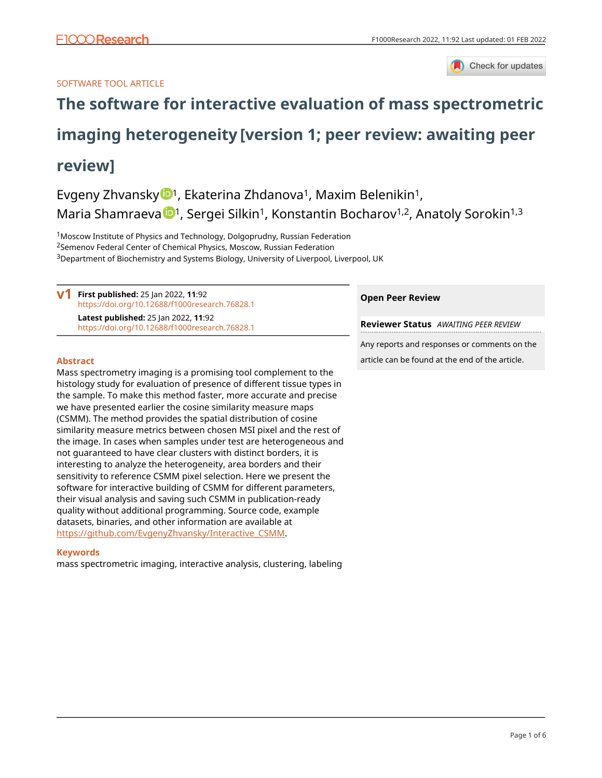

# SOFTWARE TOOL ARTICLE

# **[The software for interactive evaluation of mass spectrometric](https://f1000research.com/articles/11-92/v1)**

# **[imaging heterogeneity](https://f1000research.com/articles/11-92/v1) [version 1; peer review: awaiting peer**

# **review]**

Evgeny Zhvansky <sup>[1](https://orcid.org/0000-0002-6427-2553)</sup>, Ekaterina Zhdanova<sup>1</sup>, Maxim Belenikin<sup>1</sup>, Maria Shamraeva <sup>1,</sup> Sergei Silkin<sup>1</sup>, Konstantin Bocharov<sup>1,2</sup>, Anatoly Sorokin<sup>1,3</sup>

<sup>1</sup>Moscow Institute of Physics and Technology, Dolgoprudny, Russian Federation <sup>2</sup>Semenov Federal Center of Chemical Physics, Moscow, Russian Federation <sup>3</sup>Department of Biochemistry and Systems Biology, University of Liverpool, Liverpool, UK

**V1** First published: 25 Jan 2022, 11:92 <https://doi.org/10.12688/f1000research.76828.1> **Latest published:** 25 Jan 2022, **11**:92 <https://doi.org/10.12688/f1000research.76828.1>

# **Abstract**

Mass spectrometry imaging is a promising tool complement to the histology study for evaluation of presence of different tissue types in the sample. To make this method faster, more accurate and precise we have presented earlier the cosine similarity measure maps (CSMM). The method provides the spatial distribution of cosine similarity measure metrics between chosen MSI pixel and the rest of the image. In cases when samples under test are heterogeneous and not guaranteed to have clear clusters with distinct borders, it is interesting to analyze the heterogeneity, area borders and their sensitivity to reference CSMM pixel selection. Here we present the software for interactive building of CSMM for different parameters, their visual analysis and saving such CSMM in publication-ready quality without additional programming. Source code, example datasets, binaries, and other information are available at [https://github.com/EvgenyZhvansky/Interactive\\_CSMM.](https://github.com/EvgenyZhvansky/Interactive_CSMM)

# **Keywords**

mass spectrometric imaging, interactive analysis, clustering, labeling

# **Open Peer Review**

**Reviewer Status** *AWAITING PEER REVIEW*

Any reports and responses or comments on the article can be found at the end of the article.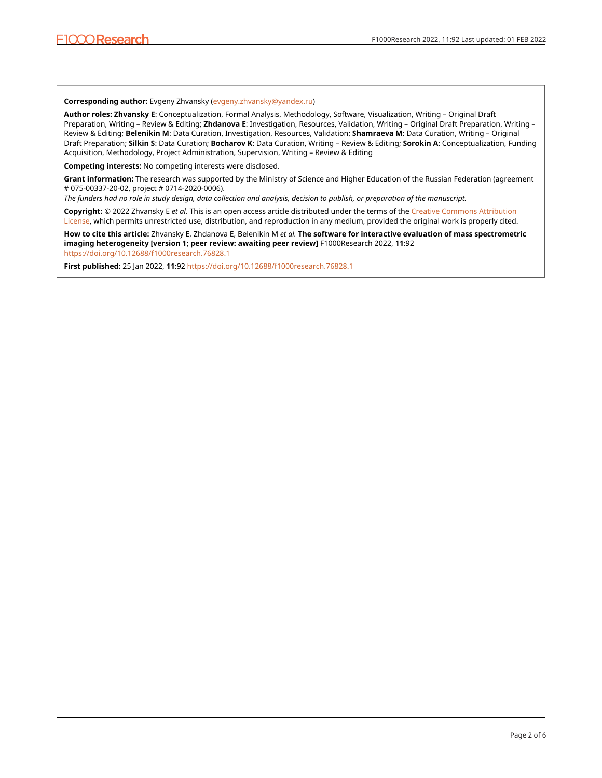### **Corresponding author:** Evgeny Zhvansky ([evgeny.zhvansky@yandex.ru](mailto:evgeny.zhvansky@yandex.ru))

**Author roles: Zhvansky E**: Conceptualization, Formal Analysis, Methodology, Software, Visualization, Writing – Original Draft Preparation, Writing – Review & Editing; **Zhdanova E**: Investigation, Resources, Validation, Writing – Original Draft Preparation, Writing – Review & Editing; **Belenikin M**: Data Curation, Investigation, Resources, Validation; **Shamraeva M**: Data Curation, Writing – Original Draft Preparation; **Silkin S**: Data Curation; **Bocharov K**: Data Curation, Writing – Review & Editing; **Sorokin A**: Conceptualization, Funding Acquisition, Methodology, Project Administration, Supervision, Writing – Review & Editing

**Competing interests:** No competing interests were disclosed.

**Grant information:** The research was supported by the Ministry of Science and Higher Education of the Russian Federation (agreement # 075-00337-20-02, project # 0714-2020-0006).

*The funders had no role in study design, data collection and analysis, decision to publish, or preparation of the manuscript.*

**Copyright:** © 2022 Zhvansky E *et al*. This is an open access article distributed under the terms of the [Creative Commons Attribution](http://creativecommons.org/licenses/by/4.0/) [License](http://creativecommons.org/licenses/by/4.0/), which permits unrestricted use, distribution, and reproduction in any medium, provided the original work is properly cited.

**How to cite this article:** Zhvansky E, Zhdanova E, Belenikin M *et al.* **The software for interactive evaluation of mass spectrometric imaging heterogeneity [version 1; peer review: awaiting peer review]** F1000Research 2022, **11**:92 <https://doi.org/10.12688/f1000research.76828.1>

**First published:** 25 Jan 2022, **11**:92<https://doi.org/10.12688/f1000research.76828.1>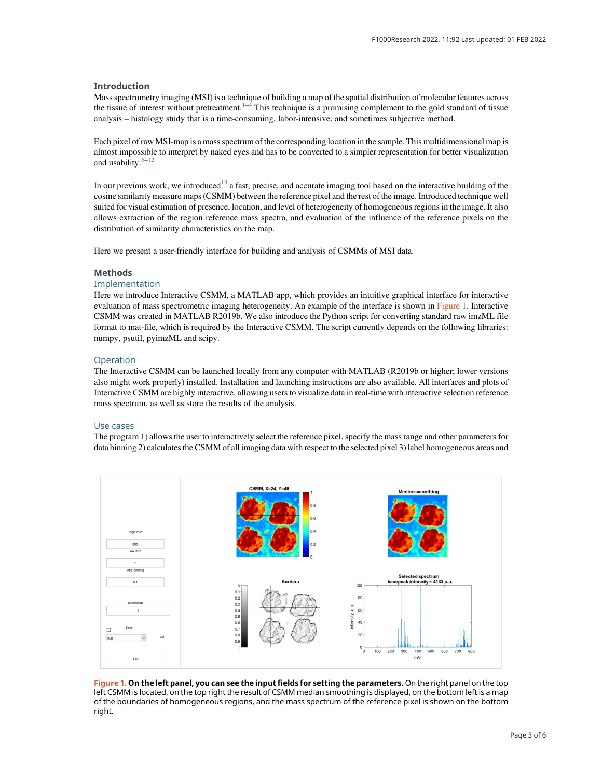# Introduction

Mass spectrometry imaging (MSI) is a technique of building a map of the spatial distribution of molecular features across the tissue of interest without pretreatment. $1-4$  $1-4$  $1-4$  This technique is a promising complement to the gold standard of tissue analysis – histology study that is a time-consuming, labor-intensive, and sometimes subjective method.

Each pixel of raw MSI-map is a mass spectrum of the corresponding location in the sample. This multidimensional map is almost impossible to interpret by naked eyes and has to be converted to a simpler representation for better visualization and usability. $5-12$  $5-12$  $5-12$ 

In our previous work, we introduced<sup>[13](#page-4-0)</sup> a fast, precise, and accurate imaging tool based on the interactive building of the cosine similarity measure maps (CSMM) between the reference pixel and the rest of the image. Introduced technique well suited for visual estimation of presence, location, and level of heterogeneity of homogeneous regions in the image. It also allows extraction of the region reference mass spectra, and evaluation of the influence of the reference pixels on the distribution of similarity characteristics on the map.

Here we present a user-friendly interface for building and analysis of CSMMs of MSI data.

# **Methods**

# Implementation

Here we introduce Interactive CSMM, a MATLAB app, which provides an intuitive graphical interface for interactive evaluation of mass spectrometric imaging heterogeneity. An example of the interface is shown in Figure 1. Interactive CSMM was created in MATLAB R2019b. We also introduce the Python script for converting standard raw imzML file format to mat-file, which is required by the Interactive CSMM. The script currently depends on the following libraries: numpy, psutil, pyimzML and scipy.

### **Operation**

The Interactive CSMM can be launched locally from any computer with MATLAB (R2019b or higher; lower versions also might work properly) installed. Installation and launching instructions are also available. All interfaces and plots of Interactive CSMM are highly interactive, allowing users to visualize data in real-time with interactive selection reference mass spectrum, as well as store the results of the analysis.

### Use cases

The program 1) allows the user to interactively select the reference pixel, specify the mass range and other parameters for data binning 2) calculates the CSMM of all imaging data with respect to the selected pixel 3) label homogeneous areas and



Figure 1. On the left panel, you can see the input fields for setting the parameters. On the right panel on the top left CSMM is located, on the top right the result of CSMM median smoothing is displayed, on the bottom left is a map of the boundaries of homogeneous regions, and the mass spectrum of the reference pixel is shown on the bottom right.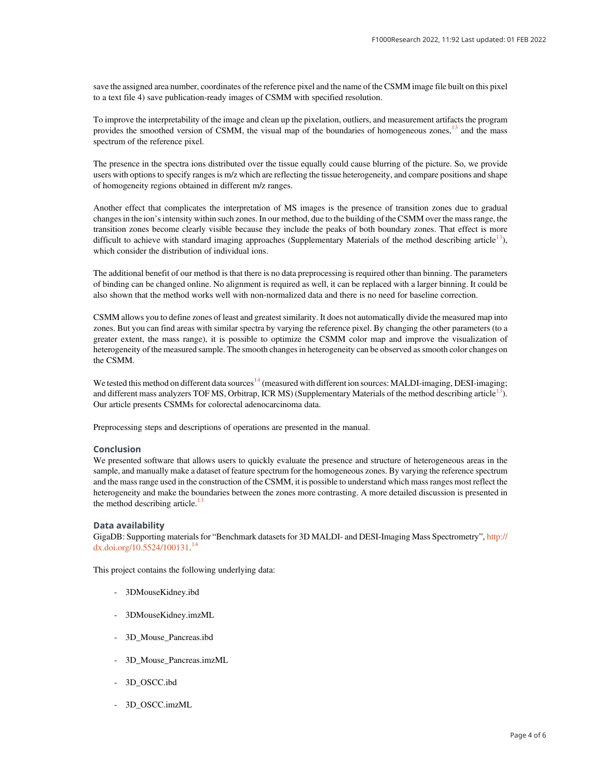save the assigned area number, coordinates of the reference pixel and the name of the CSMM image file built on this pixel to a text file 4) save publication-ready images of CSMM with specified resolution.

To improve the interpretability of the image and clean up the pixelation, outliers, and measurement artifacts the program provides the smoothed version of CSMM, the visual map of the boundaries of homogeneous zones, $^{13}$  $^{13}$  $^{13}$  and the mass spectrum of the reference pixel.

The presence in the spectra ions distributed over the tissue equally could cause blurring of the picture. So, we provide users with options to specify ranges is m/z which are reflecting the tissue heterogeneity, and compare positions and shape of homogeneity regions obtained in different m/z ranges.

Another effect that complicates the interpretation of MS images is the presence of transition zones due to gradual changes in the ion's intensity within such zones. In our method, due to the building of the CSMM over the mass range, the transition zones become clearly visible because they include the peaks of both boundary zones. That effect is more difficult to achieve with standard imaging approaches (Supplementary Materials of the method describing article<sup>[13](#page-4-0)</sup>), which consider the distribution of individual ions.

The additional benefit of our method is that there is no data preprocessing is required other than binning. The parameters of binding can be changed online. No alignment is required as well, it can be replaced with a larger binning. It could be also shown that the method works well with non-normalized data and there is no need for baseline correction.

CSMM allows you to define zones of least and greatest similarity. It does not automatically divide the measured map into zones. But you can find areas with similar spectra by varying the reference pixel. By changing the other parameters (to a greater extent, the mass range), it is possible to optimize the CSMM color map and improve the visualization of heterogeneity of the measured sample. The smooth changes in heterogeneity can be observed as smooth color changes on the CSMM.

We tested this method on different data sources<sup>[14](#page-4-0)</sup> (measured with different ion sources: MALDI-imaging, DESI-imaging; and different mass analyzers TOF MS, Orbitrap, ICR MS) (Supplementary Materials of the method describing article $13$ ). Our article presents CSMMs for colorectal adenocarcinoma data.

Preprocessing steps and descriptions of operations are presented in the manual.

# Conclusion

We presented software that allows users to quickly evaluate the presence and structure of heterogeneous areas in the sample, and manually make a dataset of feature spectrum for the homogeneous zones. By varying the reference spectrum and the mass range used in the construction of the CSMM, it is possible to understand which mass ranges most reflect the heterogeneity and make the boundaries between the zones more contrasting. A more detailed discussion is presented in the method describing article.<sup>[13](#page-4-0)</sup>

# Data availability

GigaDB: Supporting materials for "Benchmark datasets for 3D MALDI- and DESI-Imaging Mass Spectrometry", [http://](http://dx.doi.org/10.5524/100131) [dx.doi.org/10.5524/100131.](http://dx.doi.org/10.5524/100131) [14](#page-4-0)

This project contains the following underlying data:

- 3DMouseKidney.ibd
- 3DMouseKidney.imzML
- 3D\_Mouse\_Pancreas.ibd
- 3D\_Mouse\_Pancreas.imzML
- 3D\_OSCC.ibd
- 3D\_OSCC.imzML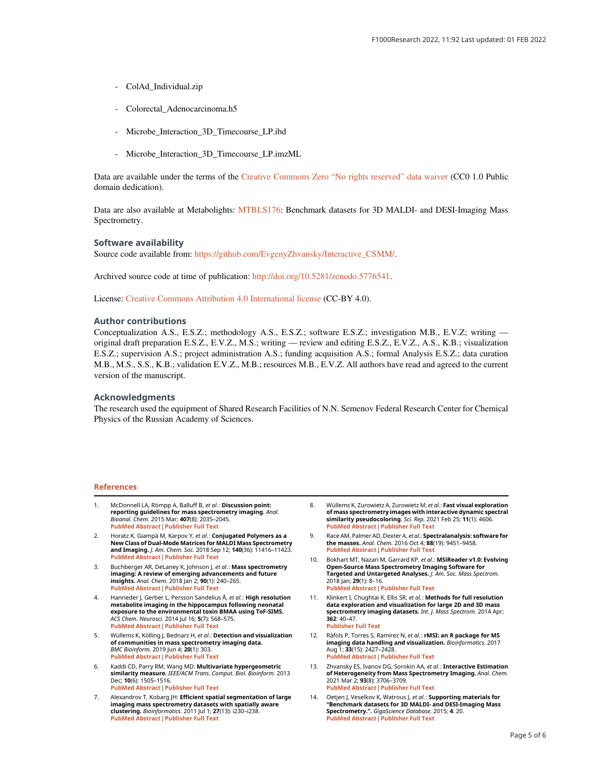- <span id="page-4-0"></span>- ColAd\_Individual.zip
- Colorectal\_Adenocarcinoma.h5
- Microbe Interaction 3D Timecourse LP.ibd
- Microbe\_Interaction\_3D\_Timecourse\_LP.imzML

Data are available under the terms of the [Creative Commons Zero](http://creativecommons.org/publicdomain/zero/1.0/) "No rights reserved" data waiver (CC0 1.0 Public domain dedication).

Data are also available at Metabolights: [MTBLS176](https://www.ebi.ac.uk/metabolights/MTBLS176/descriptors): Benchmark datasets for 3D MALDI- and DESI-Imaging Mass Spectrometry.

#### Software availability

Source code available from: [https://github.com/EvgenyZhvansky/Interactive\\_CSMM/.](https://github.com/EvgenyZhvansky/Interactive_CSMM/)

Archived source code at time of publication: [http://doi.org/10.5281/zenodo.5776541.](http://doi.org/10.5281/zenodo.5776541)

License: [Creative Commons Attribution 4.0 International license](https://creativecommons.org/licenses/by/4.0/) (CC-BY 4.0).

#### Author contributions

Conceptualization A.S., E.S.Z.; methodology A.S., E.S.Z.; software E.S.Z.; investigation M.B., E.V.Z; writing original draft preparation E.S.Z., E.V.Z., M.S.; writing — review and editing E.S.Z., E.V.Z., A.S., K.B.; visualization E.S.Z.; supervision A.S.; project administration A.S.; funding acquisition A.S.; formal Analysis E.S.Z.; data curation M.B., M.S., S.S., K.B.; validation E.V.Z., M.B.; resources M.B., E.V.Z. All authors have read and agreed to the current version of the manuscript.

#### Acknowledgments

The research used the equipment of Shared Research Facilities of N.N. Semenov Federal Research Center for Chemical Physics of the Russian Academy of Sciences.

#### References

- McDonnell LA, Römpp A, Balluff B, et al.: Discussion point: reporting guidelines for mass spectrometry imaging. Anal. Bioanal. Chem. 2015 Mar; <sup>407</sup>(8): 2035–2045. [PubMed Abstract](http://www.ncbi.nlm.nih.gov/pubmed/25432304)[|](https://doi.org/10.1007/s00216-014-8322-6)[Publisher Full Text](https://doi.org/10.1007/s00216-014-8322-6)
- 2. Horatz K, Giampà M, Karpov Y, et al.: Conjugated Polymers as a New Class of Dual-Mode Matrices for MALDI Mass Spectrometry **and I[m](https://doi.org/10.1021/jacs.8b06637)aging.** *J. Am. Chem. Soc.* 2018 Sep 12; **140**(36): 11416–11423.<br><mark>[PubMed Abstract](http://www.ncbi.nlm.nih.gov/pubmed/30089208) [|](https://doi.org/10.1021/jacs.8b06637) [Publisher Full Text](https://doi.org/10.1021/jacs.8b06637)</mark>
- 3. Buchberger AR, DeLaney K, Johnson J, et al.: Mass spectrometry imaging: A review of emerging advancements and future insights. Anal. Ch[em](https://doi.org/10.1021/acs.analchem.7b04733). 2018 Jan 2; <sup>90</sup>(1): 240–265. [PubMed Abstract](http://www.ncbi.nlm.nih.gov/pubmed/29155564)[|](https://doi.org/10.1021/acs.analchem.7b04733)[Publisher Full Text](https://doi.org/10.1021/acs.analchem.7b04733)
- 4. Hanrieder J, Gerber L, Persson Sandelius Å, *et al.* : **High resolution**<br>metabolite imaging in the hippocampus following neonatal exposure to the environmental toxin BMAA using ToF-SIMS. ACS Chem. Neuros[ci](https://doi.org/10.1021/cn500039b). 2014 Jul 16; <sup>5</sup>(7): 568–575. [PubMed Abstract](http://www.ncbi.nlm.nih.gov/pubmed/24779349)[|](https://doi.org/10.1021/cn500039b)[Publisher Full Text](https://doi.org/10.1021/cn500039b)
- 5. Wüllems K, Kölling J, Bednarz H, et al.: Detection and visualization of communities in mass spectrometry imaging data. *BMC Bioinform.* 2019 Jun 4; **20**(1): 303.<br>**[PubMed Abstract](http://www.ncbi.nlm.nih.gov/pubmed/31164082) [|](https://doi.org/10.1186/s12859-019-2890-6) [Publisher Full Text](https://doi.org/10.1186/s12859-019-2890-6)**
- 6. Kaddi CD, Parry RM, Wang MD: Multivariate hypergeometric similarity measure. IEEE/ACM Trans. Comput. Biol. Bioinform. 2013 Dec; **10**(6): 1505–1516.<br><mark>[PubMed Abstract](http://www.ncbi.nlm.nih.gov/pubmed/24407308) [|](https://doi.org/10.1109/TCBB.2013.28) [Publisher Full Text](https://doi.org/10.1109/TCBB.2013.28)</mark>
- 7. Alexandrov T, Kobarg JH: Efficient spatial segmentation of large imaging mass spectrometry datasets with spatially aware **clustering.** *Bi[o](https://doi.org/10.1093/bioinformatics/btr246)informatic*s. 2011 Jul 1; **27**(13): i230–i238.<br><mark>[PubMed Abstract](http://www.ncbi.nlm.nih.gov/pubmed/21685075) [|](https://doi.org/10.1093/bioinformatics/btr246) [Publisher Full Text](https://doi.org/10.1093/bioinformatics/btr246)</mark>
- 8. Wüllems K, Zurowietz A, Zurowietz M, *et al*.: **Fast visual exploration**<br>**of mass spectrometry images with interactive dynamic spectral** similarity pseudocoloring. Sci. *Rep.* 2021 Feb 25; 11(1): 4606.<br><mark>[PubMed Abstract](http://www.ncbi.nlm.nih.gov/pubmed/33633175)[|](https://doi.org/10.1038/s41598-021-84049-4)[Publisher Full Text](https://doi.org/10.1038/s41598-021-84049-4)</mark>
- 9. Race AM, Palmer AD, Dexter A, et al.: Spectralanalysis: software for the masses. Anal. [C](https://doi.org/10.1021/acs.analchem.6b01643)hem. 2016 Oct 4; <sup>88</sup>(19): 9451–9458. [PubMed Abstract](http://www.ncbi.nlm.nih.gov/pubmed/27558772)[|](https://doi.org/10.1021/acs.analchem.6b01643)[Publisher Full Text](https://doi.org/10.1021/acs.analchem.6b01643)
- 10. Bokhart MT, Nazari M, Garrard KP, et al.: MSiReader v1.0: Evolving Open-Source Mass Spectrometry Imaging Software for Targeted and Untargeted Analyses. J. Am. Soc. Mass Spectrom. 2018 Jan; 29(1): 8–16. [PubMed Abstract](http://www.ncbi.nlm.nih.gov/pubmed/28932998)[|](https://doi.org/10.1007/s13361-017-1809-6)[Publisher Full Text](https://doi.org/10.1007/s13361-017-1809-6)
- 11. Klinkert I, Chughtai K, Ellis SR, *et al*.: **Methods for full resolution**<br>**data exploration and visualization for large 2D and 3D mass** spectrometry imaging datasets. Int. J. Mass Spectrom. 2014 Apr; 362: 40–47. [Publisher Full Text](https://doi.org/10.1016/j.ijms.2013.12.012)
- 12. Ràfols P, Torres S, Ramírez N, *et al*.: **rMSI: an R package for MS**<br>imaging data handling and visualization. *Bioinformatics.* 2017<br>Aug 1: **33**/15: 24/17-24/28 Aug 1; **33**(15): 2427–2428.<br><mark>[PubMed Abstract](http://www.ncbi.nlm.nih.gov/pubmed/28369250)[|](https://doi.org/10.1093/bioinformatics/btx182)[Publisher Full Text](https://doi.org/10.1093/bioinformatics/btx182)</mark>
- 13. Zhvansky ES, Ivanov DG, Sorokin AA, et al.: Interactive Estimation of Heterogeneity from Mass Spectrometry Imaging. Anal. Chem. 2021 Mar 2; 93(8): 3706–3709. [PubMed Abstract](http://www.ncbi.nlm.nih.gov/pubmed/33591173)[|](https://doi.org/10.1021/acs.analchem.1c00437)[Publisher Full Text](https://doi.org/10.1021/acs.analchem.1c00437)
- Oetjen J, Veselkov K, Watrous J, et al.: Supporting materials for "Benchmark datasets for 3D MALDI- and DESI-Imaging Mass Spectrometry.". *[G](https://doi.org/10.1186/s13742-015-0059-4)igaScience Database. 2*015; 4: 20.<br><mark>[PubMed Abstract](http://www.ncbi.nlm.nih.gov/pubmed/25941567) [|](https://doi.org/10.1186/s13742-015-0059-4) [Publisher Full Text](https://doi.org/10.1186/s13742-015-0059-4)</mark>